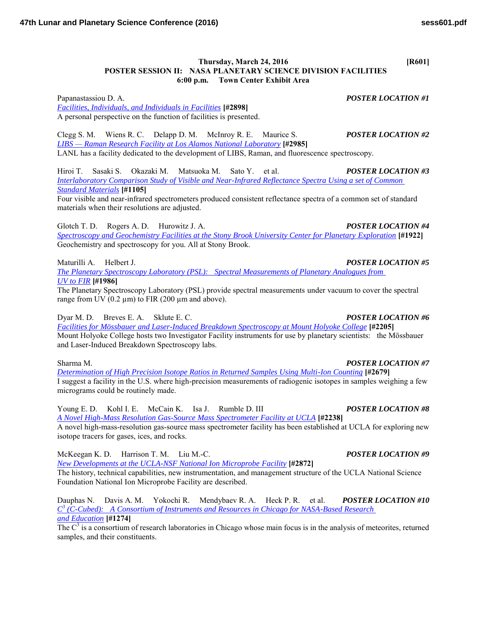# **Thursday, March 24, 2016 [R601] POSTER SESSION II: NASA PLANETARY SCIENCE DIVISION FACILITIES 6:00 p.m. Town Center Exhibit Area**

Papanastassiou D. A. *POSTER LOCATION #1 [Facilities, Individuals, and Individuals in Facilities](http://www.hou.usra.edu/meetings/lpsc2016/pdf/2898.pdf)* **[#2898]** A personal perspective on the function of facilities is presented.

Clegg S. M. Wiens R. C. Delapp D. M. McInroy R. E. Maurice S. *POSTER LOCATION #2 [LIBS — Raman Research Facility at Los Alamos National Laboratory](http://www.hou.usra.edu/meetings/lpsc2016/pdf/2985.pdf)* **[#2985]** LANL has a facility dedicated to the development of LIBS, Raman, and fluorescence spectroscopy.

Hiroi T. Sasaki S. Okazaki M. Matsuoka M. Sato Y. et al. *POSTER LOCATION #3 [Interlaboratory Comparison Study of Visible and Near-Infrared Reflectance Spectra Using a set of Common](http://www.hou.usra.edu/meetings/lpsc2016/pdf/1105.pdf)  [Standard Materials](http://www.hou.usra.edu/meetings/lpsc2016/pdf/1105.pdf)* **[#1105]**

Four visible and near-infrared spectrometers produced consistent reflectance spectra of a common set of standard materials when their resolutions are adjusted.

Glotch T. D. Rogers A. D. Hurowitz J. A. *POSTER LOCATION #4 [Spectroscopy and Geochemistry Facilities at the Stony Brook University Center for Planetary Exploration](http://www.hou.usra.edu/meetings/lpsc2016/pdf/1922.pdf)* **[#1922]** Geochemistry and spectroscopy for you. All at Stony Brook.

Maturilli A. Helbert J. *POSTER LOCATION #5*

*[The Planetary Spectroscopy Laboratory \(PSL\): Spectral Measurements of Planetary Analogues from](http://www.hou.usra.edu/meetings/lpsc2016/pdf/1986.pdf)  UV to [FIR](http://www.hou.usra.edu/meetings/lpsc2016/pdf/1986.pdf)* **[#1986]**

The Planetary Spectroscopy Laboratory (PSL) provide spectral measurements under vacuum to cover the spectral range from UV  $(0.2 \mu m)$  to FIR  $(200 \mu m)$  and above).

Dyar M. D. Breves E. A. Sklute E. C. *POSTER LOCATION #6*

*[Facilities for Mössbauer and Laser-Induced Breakdown Spectroscopy at Mount Holyoke College](http://www.hou.usra.edu/meetings/lpsc2016/pdf/2205.pdf)* **[#2205]** Mount Holyoke College hosts two Investigator Facility instruments for use by planetary scientists: the Mössbauer and Laser-Induced Breakdown Spectroscopy labs.

*[Determination of High Precision Isotope Ratios in Returned Samples Using Multi-Ion Counting](http://www.hou.usra.edu/meetings/lpsc2016/pdf/2679.pdf)* **[#2679]** I suggest a facility in the U.S. where high-precision measurements of radiogenic isotopes in samples weighing a few micrograms could be routinely made.

Young E. D. Kohl I. E. McCain K. Isa J. Rumble D. III *POSTER LOCATION #8 [A Novel High-Mass Resolution Gas-Source Mass Spectrometer Facility at UCLA](http://www.hou.usra.edu/meetings/lpsc2016/pdf/2238.pdf)* **[#2238]** A novel high-mass-resolution gas-source mass spectrometer facility has been established at UCLA for exploring new isotope tracers for gases, ices, and rocks.

McKeegan K. D. Harrison T. M. Liu M.-C. *POSTER LOCATION #9*

*[New Developments at the UCLA-NSF National Ion Microprobe Facility](http://www.hou.usra.edu/meetings/lpsc2016/pdf/2872.pdf)* **[#2872]**

The history, technical capabilities, new instrumentation, and management structure of the UCLA National Science Foundation National Ion Microprobe Facility are described.

Dauphas N. Davis A. M. Yokochi R. Mendybaev R. A. Heck P. R. et al. *POSTER LOCATION #10 C 3 [\(C-Cubed\): A Consortium of Instruments and Resources in Chicago for NASA-Based Research](http://www.hou.usra.edu/meetings/lpsc2016/pdf/1274.pdf)  [and Education](http://www.hou.usra.edu/meetings/lpsc2016/pdf/1274.pdf)* **[#1274]**

The  $C<sup>3</sup>$  is a consortium of research laboratories in Chicago whose main focus is in the analysis of meteorites, returned samples, and their constituents.

## Sharma M. *POSTER LOCATION #7*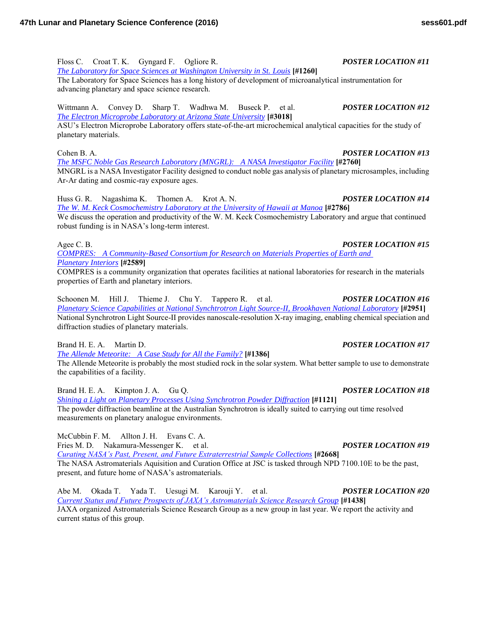Floss C. Croat T. K. Gyngard F. Ogliore R. *POSTER LOCATION #11*

*[The Laboratory for Space Sciences at Washington University in St. Louis](http://www.hou.usra.edu/meetings/lpsc2016/pdf/1260.pdf)* **[#1260]**

The Laboratory for Space Sciences has a long history of development of microanalytical instrumentation for advancing planetary and space science research.

### Wittmann A. Convey D. Sharp T. Wadhwa M. Buseck P. et al. *POSTER LOCATION #12 [The Electron Microprobe Laboratory at Arizona State University](http://www.hou.usra.edu/meetings/lpsc2016/pdf/3018.pdf)* **[#3018]**

ASU's Electron Microprobe Laboratory offers state-of-the-art microchemical analytical capacities for the study of planetary materials.

Cohen B. A. *POSTER LOCATION #13 [The MSFC Noble Gas Research Laboratory \(MNGRL\): A NASA Investigator Facility](http://www.hou.usra.edu/meetings/lpsc2016/pdf/2760.pdf)* **[#2760]** MNGRL is a NASA Investigator Facility designed to conduct noble gas analysis of planetary microsamples, including Ar-Ar dating and cosmic-ray exposure ages.

Huss G. R. Nagashima K. Thomen A. Krot A. N. *POSTER LOCATION #14 [The W. M. Keck Cosmochemistry Laboratory at the University of Hawaii at Manoa](http://www.hou.usra.edu/meetings/lpsc2016/pdf/2786.pdf)* **[#2786]** We discuss the operation and productivity of the W. M. Keck Cosmochemistry Laboratory and argue that continued

robust funding is in NASA's long-term interest.

*[COMPRES: A Community-Based Consortium for Research on Materials Properties of Earth and](http://www.hou.usra.edu/meetings/lpsc2016/pdf/2589.pdf)  [Planetary Interiors](http://www.hou.usra.edu/meetings/lpsc2016/pdf/2589.pdf)* **[#2589]**

COMPRES is a community organization that operates facilities at national laboratories for research in the materials properties of Earth and planetary interiors.

Schoonen M. Hill J. Thieme J. Chu Y. Tappero R. et al. *POSTER LOCATION #16 [Planetary Science Capabilities at National Synchtrotron Light Source-II, Brookhaven National Laboratory](http://www.hou.usra.edu/meetings/lpsc2016/pdf/2951.pdf)* **[#2951]** National Synchrotron Light Source-II provides nanoscale-resolution X-ray imaging, enabling chemical speciation and diffraction studies of planetary materials.

Brand H. E. A. Martin D. *POSTER LOCATION #17* 

*[The Allende Meteorite: A Case Study for All the Family?](http://www.hou.usra.edu/meetings/lpsc2016/pdf/1386.pdf)* **[#1386]**

The Allende Meteorite is probably the most studied rock in the solar system. What better sample to use to demonstrate the capabilities of a facility.

Brand H. E. A. Kimpton J. A. Gu Q. *POSTER LOCATION #18 [Shining a Light on Planetary Processes Using Synchrotron Powder Diffraction](http://www.hou.usra.edu/meetings/lpsc2016/pdf/1121.pdf)* **[#1121]** The powder diffraction beamline at the Australian Synchrotron is ideally suited to carrying out time resolved measurements on planetary analogue environments.

McCubbin F. M. Allton J. H. Evans C. A.

Fries M. D. Nakamura-Messenger K. et al. *POSTER LOCATION #19 [Curating NASA's Past, Present, and Future Extraterrestrial Sample Collections](http://www.hou.usra.edu/meetings/lpsc2016/pdf/2668.pdf)* **[#2668]** The NASA Astromaterials Aquisition and Curation Office at JSC is tasked through NPD 7100.10E to be the past, present, and future home of NASA's astromaterials.

Abe M. Okada T. Yada T. Uesugi M. Karouji Y. et al. *POSTER LOCATION #20 [Current Status and Future Prospects of JAXA's Astromaterials Science Research Group](http://www.hou.usra.edu/meetings/lpsc2016/pdf/1438.pdf)* **[#1438]** JAXA organized Astromaterials Science Research Group as a new group in last year. We report the activity and current status of this group.

Agee C. B. *POSTER LOCATION #15*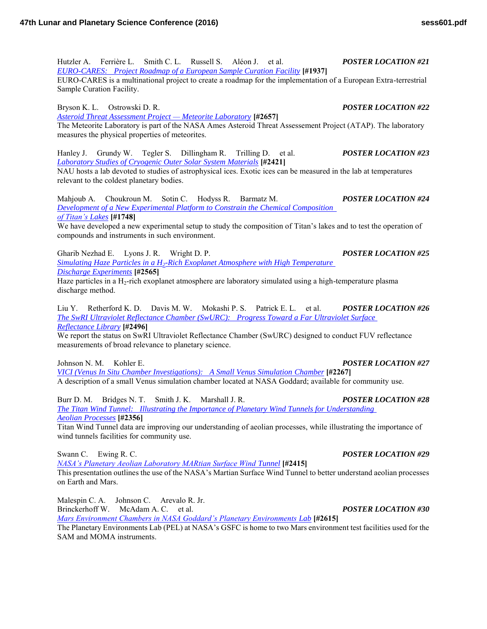Hutzler A. Ferrière L. Smith C. L. Russell S. Aléon J. et al. *POSTER LOCATION #21 [EURO-CARES: Project Roadmap of a European Sample Curation Facility](http://www.hou.usra.edu/meetings/lpsc2016/pdf/1937.pdf)* **[#1937]** EURO-CARES is a multinational project to create a roadmap for the implementation of a European Extra-terrestrial Sample Curation Facility.

Bryson K. L. Ostrowski D. R. *POSTER LOCATION #22*

*[Asteroid Threat Assessment Project — Meteorite Laboratory](http://www.hou.usra.edu/meetings/lpsc2016/pdf/2657.pdf)* **[#2657]** The Meteorite Laboratory is part of the NASA Ames Asteroid Threat Assessement Project (ATAP). The laboratory measures the physical properties of meteorites.

Hanley J. Grundy W. Tegler S. Dillingham R. Trilling D. et al. *POSTER LOCATION #23 [Laboratory Studies of Cryogenic Outer Solar System Materials](http://www.hou.usra.edu/meetings/lpsc2016/pdf/2421.pdf)* **[#2421]** NAU hosts a lab devoted to studies of astrophysical ices. Exotic ices can be measured in the lab at temperatures

relevant to the coldest planetary bodies.

Mahjoub A. Choukroun M. Sotin C. Hodyss R. Barmatz M. *POSTER LOCATION #24 [Development of a New Experimental Platform to Constrain the Chemical Composition](http://www.hou.usra.edu/meetings/lpsc2016/pdf/1748.pdf)  [of Titan's Lakes](http://www.hou.usra.edu/meetings/lpsc2016/pdf/1748.pdf)* **[#1748]**

We have developed a new experimental setup to study the composition of Titan's lakes and to test the operation of compounds and instruments in such environment.

Gharib Nezhad E. Lyons J. R. Wright D. P. *POSTER LOCATION #25 Simulating Haze Particles in a H2[-Rich Exoplanet Atmosphere with High Temperature](http://www.hou.usra.edu/meetings/lpsc2016/pdf/2565.pdf)  [Discharge Experiments](http://www.hou.usra.edu/meetings/lpsc2016/pdf/2565.pdf)* **[#2565]**

Haze particles in a H<sub>2</sub>-rich exoplanet atmosphere are laboratory simulated using a high-temperature plasma discharge method.

Liu Y. Retherford K. D. Davis M. W. Mokashi P. S. Patrick E. L. et al. *POSTER LOCATION #26 [The SwRI Ultraviolet Reflectance Chamber \(SwURC\): Progress Toward a Far Ultraviolet Surface](http://www.hou.usra.edu/meetings/lpsc2016/pdf/2496.pdf)  [Reflectance Library](http://www.hou.usra.edu/meetings/lpsc2016/pdf/2496.pdf)* **[#2496]**

We report the status on SwRI Ultraviolet Reflectance Chamber (SwURC) designed to conduct FUV reflectance measurements of broad relevance to planetary science.

Johnson N. M. Kohler E. *POSTER LOCATION #27*

*[VICI \(Venus In Situ Chamber Investigations\): A Small Venus Simulation Chamber](http://www.hou.usra.edu/meetings/lpsc2016/pdf/2267.pdf)* **[#2267]** A description of a small Venus simulation chamber located at NASA Goddard; available for community use.

Burr D. M. Bridges N. T. Smith J. K. Marshall J. R. *POSTER LOCATION #28 [The Titan Wind Tunnel: Illustrating the Importance of Planetary Wind Tunnels for Understanding](http://www.hou.usra.edu/meetings/lpsc2016/pdf/2356.pdf)  [Aeolian Processes](http://www.hou.usra.edu/meetings/lpsc2016/pdf/2356.pdf)* **[#2356]**

Titan Wind Tunnel data are improving our understanding of aeolian processes, while illustrating the importance of wind tunnels facilities for community use.

Swann C. Ewing R. C. *POSTER LOCATION #29* 

*[NASA's Planetary Aeolian Laboratory MARtian Surface Wind Tunnel](http://www.hou.usra.edu/meetings/lpsc2016/pdf/2415.pdf)* **[#2415]**

This presentation outlines the use of the NASA's Martian Surface Wind Tunnel to better understand aeolian processes on Earth and Mars.

Malespin C. A. Johnson C. Arevalo R. Jr. Brinckerhoff W. McAdam A. C. et al. *POSTER LOCATION #30*

*[Mars Environment Chambers in NASA Goddard's Planetary Environments Lab](http://www.hou.usra.edu/meetings/lpsc2016/pdf/2615.pdf)* **[#2615]**

The Planetary Environments Lab (PEL) at NASA's GSFC is home to two Mars environment test facilities used for the SAM and MOMA instruments.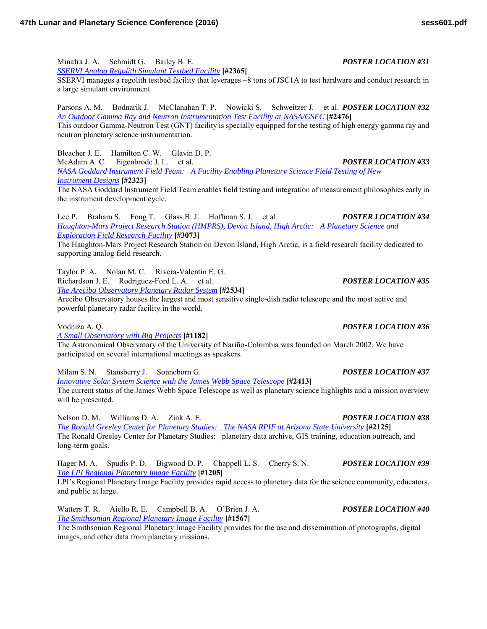Minafra J. A. Schmidt G. Bailey B. E. *POSTER LOCATION #31*

*[SSERVI Analog Regolith Simulant Testbed Facility](http://www.hou.usra.edu/meetings/lpsc2016/pdf/2365.pdf)* **[#2365]**

SSERVI manages a regolith testbed facility that leverages ~8 tons of JSC1A to test hardware and conduct research in a large simulant environment.

Parsons A. M. Bodnarik J. McClanahan T. P. Nowicki S. Schweitzer J. et al. *POSTER LOCATION #32 [An Outdoor Gamma Ray and Neutron Instrumentation Test Facility at NASA/GSFC](http://www.hou.usra.edu/meetings/lpsc2016/pdf/2476.pdf)* **[#2476]** This outdoor Gamma-Neutron Test (GNT) facility is specially equipped for the testing of high energy gamma ray and neutron planetary science instrumentation.

Bleacher J. E. Hamilton C. W. Glavin D. P.

McAdam A. C. Eigenbrode J. L. et al. *POSTER LOCATION #33 [NASA Goddard Instrument Field Team: A Facility Enabling Planetary Science Field Testing of New](http://www.hou.usra.edu/meetings/lpsc2016/pdf/2323.pdf)  [Instrument Designs](http://www.hou.usra.edu/meetings/lpsc2016/pdf/2323.pdf)* **[#2323]**

The NASA Goddard Instrument Field Team enables field testing and integration of measurement philosophies early in the instrument development cycle.

Lee P. Braham S. Fong T. Glass B. J. Hoffman S. J. et al. *POSTER LOCATION #34 [Haughton-Mars Project Research Station \(HMPRS\), Devon Island, High Arctic: A Planetary Science and](http://www.hou.usra.edu/meetings/lpsc2016/pdf/3073.pdf)  [Exploration Field Research Facility](http://www.hou.usra.edu/meetings/lpsc2016/pdf/3073.pdf)* **[#3073]**

The Haughton-Mars Project Research Station on Devon Island, High Arctic, is a field research facility dedicated to supporting analog field research.

Taylor P. A. Nolan M. C. Rivera-Valentin E. G. Richardson J. E. Rodriguez-Ford L. A. et al. *POSTER LOCATION #35 [The Arecibo Observatory Planetary Radar System](http://www.hou.usra.edu/meetings/lpsc2016/pdf/2534.pdf)* **[#2534]**

Arecibo Observatory houses the largest and most sensitive single-dish radio telescope and the most active and powerful planetary radar facility in the world.

Vodniza A. Q. *POSTER LOCATION #36*

*[A Small Observatory with Big Projects](http://www.hou.usra.edu/meetings/lpsc2016/pdf/1182.pdf)* **[#1182]**

The Astronomical Observatory of the University of Nariño-Colombia was founded on March 2002. We have participated on several international meetings as speakers.

Milam S. N. Stansberry J. Sonneborn G. *POSTER LOCATION #37*

*[Innovative Solar System Science with the James Webb Space Telescope](http://www.hou.usra.edu/meetings/lpsc2016/pdf/2413.pdf)* **[#2413]** The current status of the James Webb Space Telescope as well as planetary science highlights and a mission overview will be presented.

Nelson D. M. Williams D. A. Zink A. E. *POSTER LOCATION #38 [The Ronald Greeley Center for Planetary Studies: The NASA RPIF at Arizona State University](http://www.hou.usra.edu/meetings/lpsc2016/pdf/2125.pdf)* **[#2125]** The Ronald Greeley Center for Planetary Studies: planetary data archive, GIS training, education outreach, and long-term goals.

Hager M. A. Spudis P. D. Bigwood D. P. Chappell L. S. Cherry S. N. *POSTER LOCATION #39 [The LPI Regional Planetary Image Facility](http://www.hou.usra.edu/meetings/lpsc2016/pdf/1205.pdf)* **[#1205]**

LPI's Regional Planetary Image Facility provides rapid access to planetary data for the science community, educators, and public at large.

Watters T. R. Aiello R. E. Campbell B. A. O'Brien J. A. *POSTER LOCATION #40 [The Smithsonian Regional Planetary Image Facility](http://www.hou.usra.edu/meetings/lpsc2016/pdf/1567.pdf)* **[#1567]**

The Smithsonian Regional Planetary Image Facility provides for the use and dissemination of photographs, digital images, and other data from planetary missions.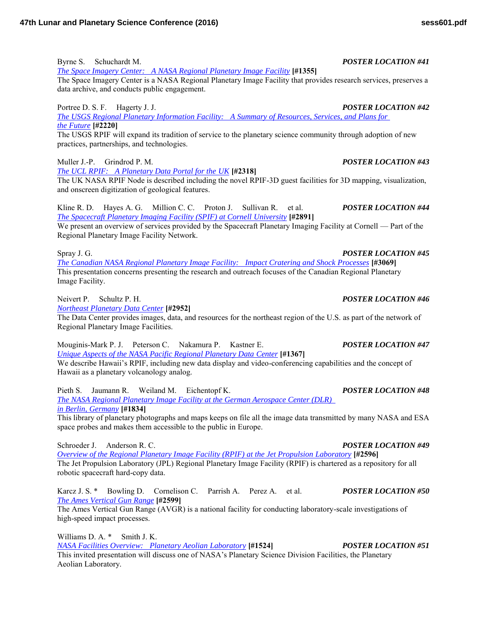Byrne S. Schuchardt M. *POSTER LOCATION #41*

*[The Space Imagery Center: A NASA Regional Planetary Image Facility](http://www.hou.usra.edu/meetings/lpsc2016/pdf/1355.pdf)* **[#1355]** The Space Imagery Center is a NASA Regional Planetary Image Facility that provides research services, preserves a data archive, and conducts public engagement.

Portree D. S. F. Hagerty J. J. *POSTER LOCATION #42* 

*[The USGS Regional Planetary Information Facility: A Summary of Resources, Services, and Plans for](http://www.hou.usra.edu/meetings/lpsc2016/pdf/2220.pdf)  [the Future](http://www.hou.usra.edu/meetings/lpsc2016/pdf/2220.pdf)* **[#2220]**

The USGS RPIF will expand its tradition of service to the planetary science community through adoption of new practices, partnerships, and technologies.

Muller J.-P. Grindrod P. M. *POSTER LOCATION #43*

*[The UCL RPIF: A Planetary Data Portal for the UK](http://www.hou.usra.edu/meetings/lpsc2016/pdf/2318.pdf)* **[#2318]**

The UK NASA RPIF Node is described including the novel RPIF-3D guest facilities for 3D mapping, visualization, and onscreen digitization of geological features.

Kline R. D. Hayes A. G. Million C. C. Proton J. Sullivan R. et al. *POSTER LOCATION #44 [The Spacecraft Planetary Imaging Facility \(SPIF\) at Cornell University](http://www.hou.usra.edu/meetings/lpsc2016/pdf/2891.pdf)* **[#2891]**

We present an overview of services provided by the Spacecraft Planetary Imaging Facility at Cornell — Part of the Regional Planetary Image Facility Network.

Spray J. G. *POSTER LOCATION #45 [The Canadian NASA Regional Planetary Image Facility: Impact Cratering and Shock Processes](http://www.hou.usra.edu/meetings/lpsc2016/pdf/3069.pdf)* **[#3069]** This presentation concerns presenting the research and outreach focuses of the Canadian Regional Planetary Image Facility.

Neivert P. Schultz P. H. *POSTER LOCATION #46*

*[Northeast Planetary Data Center](http://www.hou.usra.edu/meetings/lpsc2016/pdf/2952.pdf)* **[#2952]**

The Data Center provides images, data, and resources for the northeast region of the U.S. as part of the network of Regional Planetary Image Facilities.

Mouginis-Mark P. J. Peterson C. Nakamura P. Kastner E. *POSTER LOCATION #47 [Unique Aspects of the NASA Pacific Regional Planetary Data Center](http://www.hou.usra.edu/meetings/lpsc2016/pdf/1367.pdf)* **[#1367]** We describe Hawaii's RPIF, including new data display and video-conferencing capabilities and the concept of Hawaii as a planetary volcanology analog.

Pieth S. Jaumann R. Weiland M. Eichentopf K. *POSTER LOCATION #48 [The NASA Regional Planetary Image Facility at the German Aerospace Center \(DLR\)](http://www.hou.usra.edu/meetings/lpsc2016/pdf/1834.pdf)* 

*[in Berlin, Germany](http://www.hou.usra.edu/meetings/lpsc2016/pdf/1834.pdf)* **[#1834]**

This library of planetary photographs and maps keeps on file all the image data transmitted by many NASA and ESA space probes and makes them accessible to the public in Europe.

Schroeder J. Anderson R. C. *POSTER LOCATION #49*

*[Overview of the Regional Planetary Image Facility \(RPIF\) at the Jet Propulsion Laboratory](http://www.hou.usra.edu/meetings/lpsc2016/pdf/2596.pdf)* **[#2596]** The Jet Propulsion Laboratory (JPL) Regional Planetary Image Facility (RPIF) is chartered as a repository for all robotic spacecraft hard-copy data.

Karcz J. S. \* Bowling D. Cornelison C. Parrish A. Perez A. et al. *POSTER LOCATION #50 [The Ames Vertical Gun Range](http://www.hou.usra.edu/meetings/lpsc2016/pdf/2599.pdf)* **[#2599]**

The Ames Vertical Gun Range (AVGR) is a national facility for conducting laboratory-scale investigations of high-speed impact processes.

Williams D. A. \* Smith J. K. *[NASA Facilities Overview: Planetary Aeolian Laboratory](http://www.hou.usra.edu/meetings/lpsc2016/pdf/1524.pdf)* **[#1524]** *POSTER LOCATION #51* This invited presentation will discuss one of NASA's Planetary Science Division Facilities, the Planetary Aeolian Laboratory.